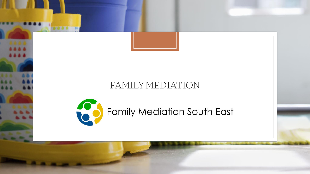

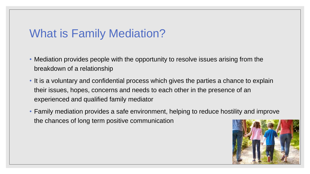# What is Family Mediation?

- Mediation provides people with the opportunity to resolve issues arising from the breakdown of a relationship
- It is a voluntary and confidential process which gives the parties a chance to explain their issues, hopes, concerns and needs to each other in the presence of an experienced and qualified family mediator
- Family mediation provides a safe environment, helping to reduce hostility and improve the chances of long term positive communication

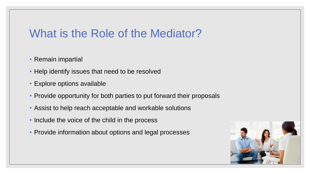# What is the Role of the Mediator?

- Remain impartial
- Help identify issues that need to be resolved
- Explore options available
- Provide opportunity for both parties to put forward their proposals
- Assist to help reach acceptable and workable solutions
- Include the voice of the child in the process
- Provide information about options and legal processes

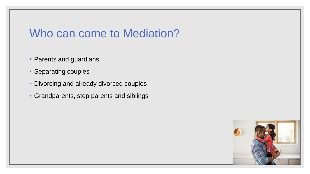# Who can come to Mediation?

- Parents and guardians
- Separating couples
- Divorcing and already divorced couples
- Grandparents, step parents and siblings

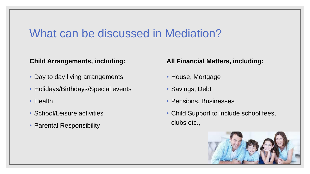## What can be discussed in Mediation?

### **Child Arrangements, including:**

- Day to day living arrangements
- Holidays/Birthdays/Special events
- Health
- School/Leisure activities
- Parental Responsibility

### **All Financial Matters, including:**

- House, Mortgage
- Savings, Debt
- Pensions, Businesses
- Child Support to include school fees, clubs etc.,

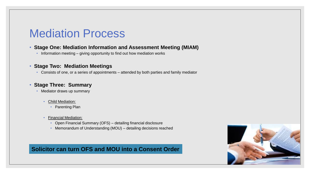## Mediation Process

#### • **Stage One: Mediation Information and Assessment Meeting (MIAM)**

• Information meeting – giving opportunity to find out how mediation works

### • **Stage Two: Mediation Meetings**

• Consists of one, or a series of appointments – attended by both parties and family mediator

### • **Stage Three: Summary**

- Mediator draws up summary
	- Child Mediation:
		- Parenting Plan
	- Financial Mediation:
		- Open Financial Summary (OFS) detailing financial disclosure
		- Memorandum of Understanding (MOU) detailing decisions reached

### **Solicitor can turn OFS and MOU into a Consent Order**